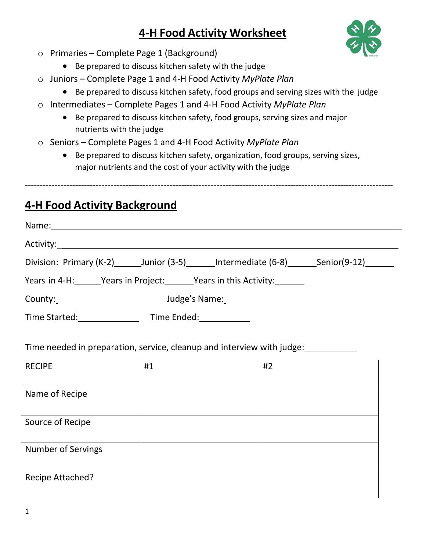# **4-H Food Activity Worksheet**



- o Primaries Complete Page 1 (Background)
	- Be prepared to discuss kitchen safety with the judge
- o Juniors Complete Page 1 and 4-H Food Activity *MyPlate Plan*
	- Be prepared to discuss kitchen safety, food groups and serving sizes with the judge
- o Intermediates Complete Pages 1 and 4-H Food Activity *MyPlate Plan*
	- Be prepared to discuss kitchen safety, food groups, serving sizes and major nutrients with the judge
- o Seniors Complete Pages 1 and 4-H Food Activity *MyPlate Plan*
	- Be prepared to discuss kitchen safety, organization, food groups, serving sizes, major nutrients and the cost of your activity with the judge

-----------------------------------------------------------------------------------------------------------------------------

# **4-H Food Activity Background**

| Name:         |                                                                       |
|---------------|-----------------------------------------------------------------------|
|               |                                                                       |
|               | Division: Primary (K-2) Junior (3-5) Intermediate (6-8) Senior (9-12) |
|               | Years in 4-H: Years in Project: Years in this Activity:               |
| County:       | Judge's Name:                                                         |
| Time Started: | Time Ended:                                                           |

Time needed in preparation, service, cleanup and interview with judge:

| <b>RECIPE</b>      | #1 | #2 |
|--------------------|----|----|
| Name of Recipe     |    |    |
| Source of Recipe   |    |    |
| Number of Servings |    |    |
| Recipe Attached?   |    |    |